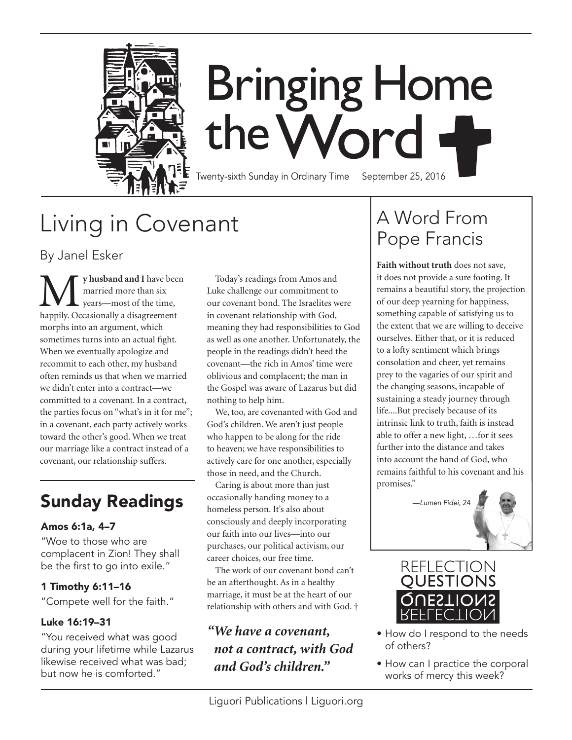

# **Bringing Home** the Word +

Twenty-sixth Sunday in Ordinary Time September 25, 2016

## Living in Covenant

By Janel Esker

**M** y husband and I have been married more than six years—most of the time, happily. Occasionally a disagreement married more than six years—most of the time, morphs into an argument, which sometimes turns into an actual fight. When we eventually apologize and recommit to each other, my husband often reminds us that when we married we didn't enter into a contract—we committed to a covenant. In a contract, the parties focus on "what's in it for me"; in a covenant, each party actively works toward the other's good. When we treat our marriage like a contract instead of a covenant, our relationship suffers.

#### Amos 6:1a, 4–7

"Woe to those who are complacent in Zion! They shall be the first to go into exile."

#### 1 Timothy 6:11–16

"Compete well for the faith."

#### Luke 16:19–31

"You received what was good during your lifetime while Lazarus likewise received what was bad; but now he is comforted."

Today's readings from Amos and Luke challenge our commitment to our covenant bond. The Israelites were in covenant relationship with God, meaning they had responsibilities to God as well as one another. Unfortunately, the people in the readings didn't heed the covenant—the rich in Amos' time were oblivious and complacent; the man in the Gospel was aware of Lazarus but did nothing to help him.

We, too, are covenanted with God and God's children. We aren't just people who happen to be along for the ride to heaven; we have responsibilities to actively care for one another, especially those in need, and the Church.

Caring is about more than just occasionally handing money to a homeless person. It's also about consciously and deeply incorporating our faith into our lives—into our purchases, our political activism, our career choices, our free time. **Sunday Readings** *performally handing money to a Lumen Fidei, 24* 

The work of our covenant bond can't be an afterthought. As in a healthy marriage, it must be at the heart of our relationship with others and with God. †

### *"We have a covenant, not a contract, with God and God's children."*

## A Word From Pope Francis

**Faith without truth** does not save, it does not provide a sure footing. It remains a beautiful story, the projection of our deep yearning for happiness, something capable of satisfying us to the extent that we are willing to deceive ourselves. Either that, or it is reduced to a lofty sentiment which brings consolation and cheer, yet remains prey to the vagaries of our spirit and the changing seasons, incapable of sustaining a steady journey through life....But precisely because of its intrinsic link to truth, faith is instead able to offer a new light, …for it sees further into the distance and takes into account the hand of God, who remains faithful to his covenant and his promises."





- How do I respond to the needs of others?
- How can I practice the corporal works of mercy this week?